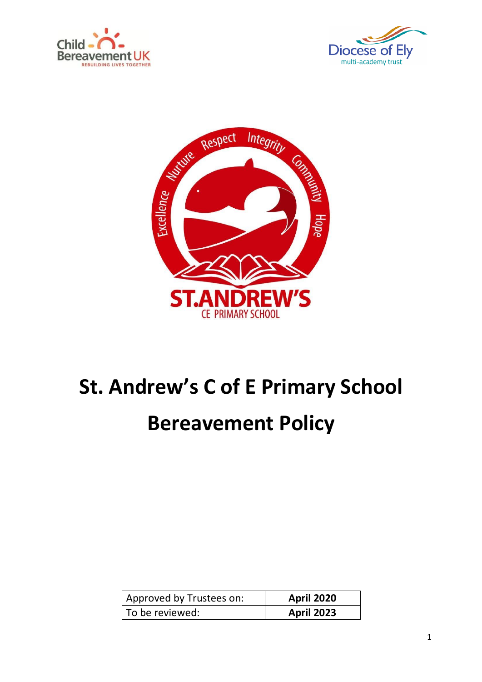





# **St. Andrew's C of E Primary School Bereavement Policy**

| Approved by Trustees on: | <b>April 2020</b> |
|--------------------------|-------------------|
| To be reviewed:          | <b>April 2023</b> |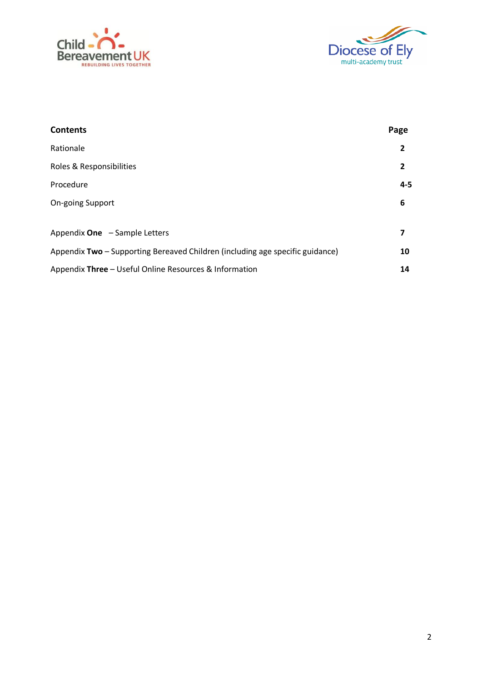



| <b>Contents</b>                                                               | Page    |
|-------------------------------------------------------------------------------|---------|
| Rationale                                                                     | 2       |
| Roles & Responsibilities                                                      | 2       |
| Procedure                                                                     | $4 - 5$ |
| <b>On-going Support</b>                                                       | 6       |
| Appendix One - Sample Letters                                                 | 7       |
| Appendix Two - Supporting Bereaved Children (including age specific guidance) | 10      |
| Appendix Three - Useful Online Resources & Information                        | 14      |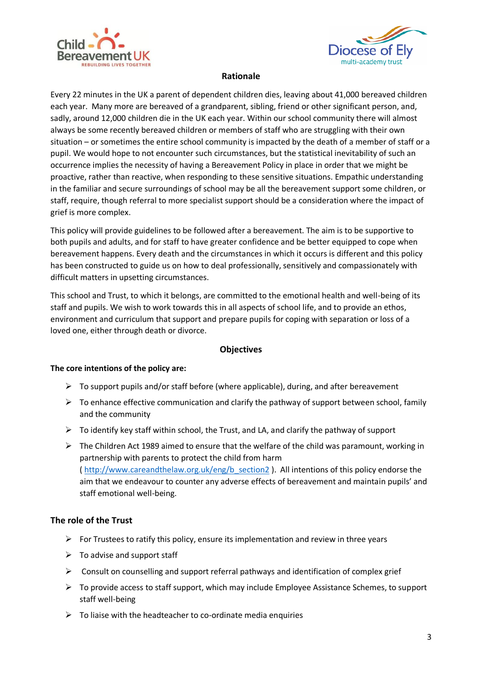



## **Rationale**

Every 22 minutes in the UK a parent of dependent children dies, leaving about 41,000 bereaved children each year. Many more are bereaved of a grandparent, sibling, friend or other significant person, and, sadly, around 12,000 children die in the UK each year. Within our school community there will almost always be some recently bereaved children or members of staff who are struggling with their own situation – or sometimes the entire school community is impacted by the death of a member of staff or a pupil. We would hope to not encounter such circumstances, but the statistical inevitability of such an occurrence implies the necessity of having a Bereavement Policy in place in order that we might be proactive, rather than reactive, when responding to these sensitive situations. Empathic understanding in the familiar and secure surroundings of school may be all the bereavement support some children, or staff, require, though referral to more specialist support should be a consideration where the impact of grief is more complex.

This policy will provide guidelines to be followed after a bereavement. The aim is to be supportive to both pupils and adults, and for staff to have greater confidence and be better equipped to cope when bereavement happens. Every death and the circumstances in which it occurs is different and this policy has been constructed to guide us on how to deal professionally, sensitively and compassionately with difficult matters in upsetting circumstances.

This school and Trust, to which it belongs, are committed to the emotional health and well-being of its staff and pupils. We wish to work towards this in all aspects of school life, and to provide an ethos, environment and curriculum that support and prepare pupils for coping with separation or loss of a loved one, either through death or divorce.

## **Objectives**

#### **The core intentions of the policy are:**

- $\triangleright$  To support pupils and/or staff before (where applicable), during, and after bereavement
- $\triangleright$  To enhance effective communication and clarify the pathway of support between school, family and the community
- $\triangleright$  To identify key staff within school, the Trust, and LA, and clarify the pathway of support
- $\triangleright$  The Children Act 1989 aimed to ensure that the welfare of the child was paramount, working in partnership with parents to protect the child from harm ( [http://www.careandthelaw.org.uk/eng/b\\_section2](http://www.careandthelaw.org.uk/eng/b_section2) ). All intentions of this policy endorse the aim that we endeavour to counter any adverse effects of bereavement and maintain pupils' and staff emotional well-being.

## **The role of the Trust**

- $\triangleright$  For Trustees to ratify this policy, ensure its implementation and review in three years
- $\triangleright$  To advise and support staff
- $\triangleright$  Consult on counselling and support referral pathways and identification of complex grief
- $\triangleright$  To provide access to staff support, which may include Employee Assistance Schemes, to support staff well-being
- $\triangleright$  To liaise with the headteacher to co-ordinate media enquiries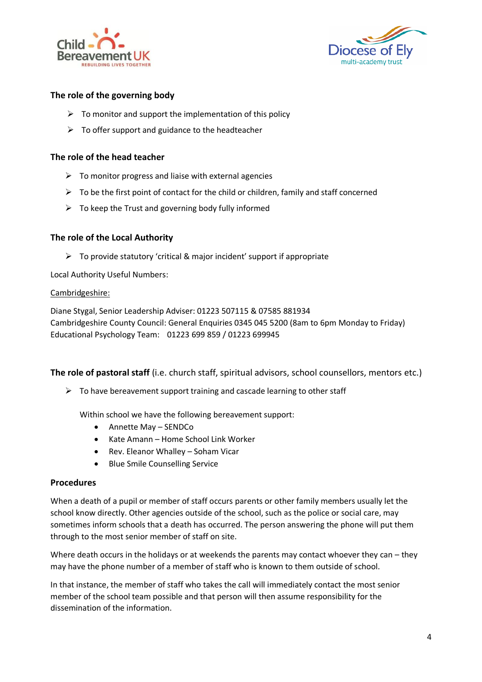



## **The role of the governing body**

- $\triangleright$  To monitor and support the implementation of this policy
- $\triangleright$  To offer support and guidance to the headteacher

## **The role of the head teacher**

- $\triangleright$  To monitor progress and liaise with external agencies
- $\triangleright$  To be the first point of contact for the child or children, family and staff concerned
- $\triangleright$  To keep the Trust and governing body fully informed

## **The role of the Local Authority**

 $\triangleright$  To provide statutory 'critical & major incident' support if appropriate

Local Authority Useful Numbers:

#### Cambridgeshire:

Diane Stygal, Senior Leadership Adviser: 01223 507115 & 07585 881934 Cambridgeshire County Council: General Enquiries 0345 045 5200 (8am to 6pm Monday to Friday) Educational Psychology Team: 01223 699 859 / 01223 699945

**The role of pastoral staff** (i.e. church staff, spiritual advisors, school counsellors, mentors etc.)

 $\triangleright$  To have bereavement support training and cascade learning to other staff

Within school we have the following bereavement support:

- Annette May SENDCo
- Kate Amann Home School Link Worker
- Rev. Eleanor Whalley Soham Vicar
- Blue Smile Counselling Service

#### **Procedures**

When a death of a pupil or member of staff occurs parents or other family members usually let the school know directly. Other agencies outside of the school, such as the police or social care, may sometimes inform schools that a death has occurred. The person answering the phone will put them through to the most senior member of staff on site.

Where death occurs in the holidays or at weekends the parents may contact whoever they can – they may have the phone number of a member of staff who is known to them outside of school.

In that instance, the member of staff who takes the call will immediately contact the most senior member of the school team possible and that person will then assume responsibility for the dissemination of the information.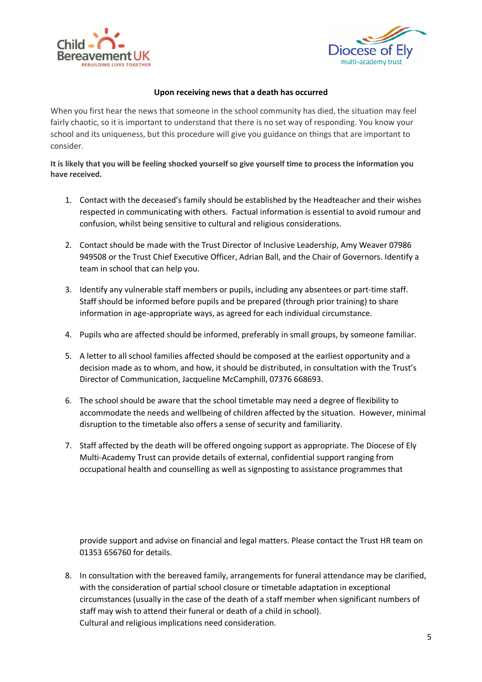



## **Upon receiving news that a death has occurred**

When you first hear the news that someone in the school community has died, the situation may feel fairly chaotic, so it is important to understand that there is no set way of responding. You know your school and its uniqueness, but this procedure will give you guidance on things that are important to consider.

**It is likely that you will be feeling shocked yourself so give yourself time to process the information you have received.**

- 1. Contact with the deceased's family should be established by the Headteacher and their wishes respected in communicating with others. Factual information is essential to avoid rumour and confusion, whilst being sensitive to cultural and religious considerations.
- 2. Contact should be made with the Trust Director of Inclusive Leadership, Amy Weaver 07986 949508 or the Trust Chief Executive Officer, Adrian Ball, and the Chair of Governors. Identify a team in school that can help you.
- 3. Identify any vulnerable staff members or pupils, including any absentees or part-time staff. Staff should be informed before pupils and be prepared (through prior training) to share information in age-appropriate ways, as agreed for each individual circumstance.
- 4. Pupils who are affected should be informed, preferably in small groups, by someone familiar.
- 5. A letter to all school families affected should be composed at the earliest opportunity and a decision made as to whom, and how, it should be distributed, in consultation with the Trust's Director of Communication, Jacqueline McCamphill, 07376 668693.
- 6. The school should be aware that the school timetable may need a degree of flexibility to accommodate the needs and wellbeing of children affected by the situation. However, minimal disruption to the timetable also offers a sense of security and familiarity.
- 7. Staff affected by the death will be offered ongoing support as appropriate. The Diocese of Ely Multi-Academy Trust can provide details of external, confidential support ranging from occupational health and counselling as well as signposting to assistance programmes that

provide support and advise on financial and legal matters. Please contact the Trust HR team on 01353 656760 for details.

8. In consultation with the bereaved family, arrangements for funeral attendance may be clarified, with the consideration of partial school closure or timetable adaptation in exceptional circumstances (usually in the case of the death of a staff member when significant numbers of staff may wish to attend their funeral or death of a child in school). Cultural and religious implications need consideration.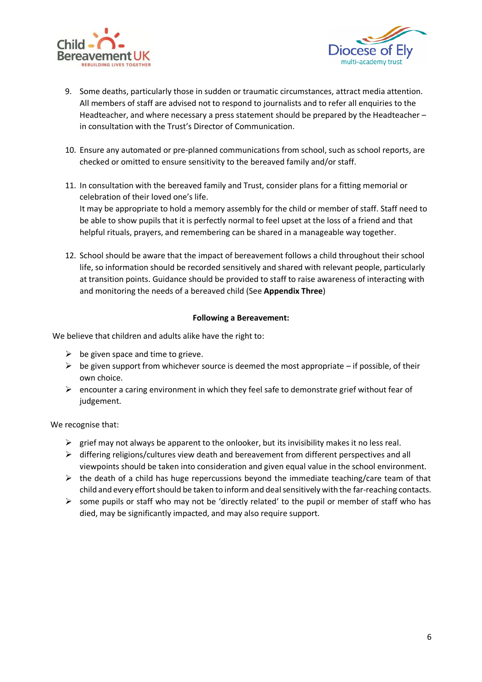



- 9. Some deaths, particularly those in sudden or traumatic circumstances, attract media attention. All members of staff are advised not to respond to journalists and to refer all enquiries to the Headteacher, and where necessary a press statement should be prepared by the Headteacher – in consultation with the Trust's Director of Communication.
- 10. Ensure any automated or pre-planned communications from school, such as school reports, are checked or omitted to ensure sensitivity to the bereaved family and/or staff.
- 11. In consultation with the bereaved family and Trust, consider plans for a fitting memorial or celebration of their loved one's life. It may be appropriate to hold a memory assembly for the child or member of staff. Staff need to be able to show pupils that it is perfectly normal to feel upset at the loss of a friend and that helpful rituals, prayers, and remembering can be shared in a manageable way together.
- 12. School should be aware that the impact of bereavement follows a child throughout their school life, so information should be recorded sensitively and shared with relevant people, particularly at transition points. Guidance should be provided to staff to raise awareness of interacting with and monitoring the needs of a bereaved child (See **Appendix Three**)

## **Following a Bereavement:**

We believe that children and adults alike have the right to:

- $\triangleright$  be given space and time to grieve.
- $\triangleright$  be given support from whichever source is deemed the most appropriate if possible, of their own choice.
- $\triangleright$  encounter a caring environment in which they feel safe to demonstrate grief without fear of judgement.

We recognise that:

- $\triangleright$  grief may not always be apparent to the onlooker, but its invisibility makes it no less real.
- $\triangleright$  differing religions/cultures view death and bereavement from different perspectives and all viewpoints should be taken into consideration and given equal value in the school environment.
- $\triangleright$  the death of a child has huge repercussions beyond the immediate teaching/care team of that child and every effort should be taken to inform and deal sensitively with the far-reaching contacts.
- $\triangleright$  some pupils or staff who may not be 'directly related' to the pupil or member of staff who has died, may be significantly impacted, and may also require support.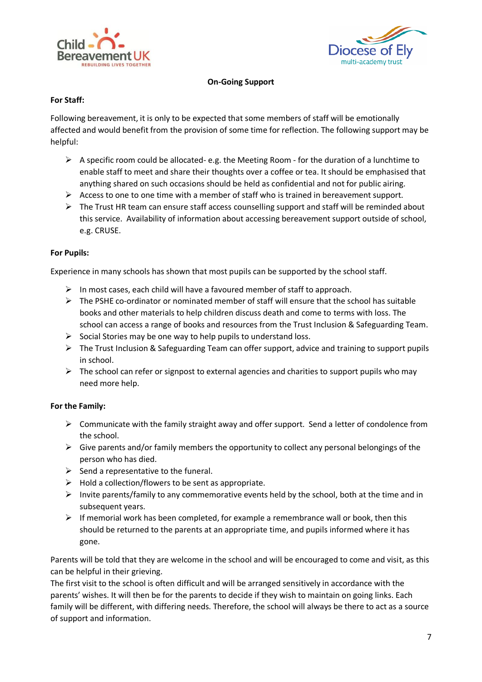



## **On-Going Support**

## **For Staff:**

Following bereavement, it is only to be expected that some members of staff will be emotionally affected and would benefit from the provision of some time for reflection. The following support may be helpful:

- $\triangleright$  A specific room could be allocated- e.g. the Meeting Room for the duration of a lunchtime to enable staff to meet and share their thoughts over a coffee or tea. It should be emphasised that anything shared on such occasions should be held as confidential and not for public airing.
- $\triangleright$  Access to one to one time with a member of staff who is trained in bereavement support.
- $\triangleright$  The Trust HR team can ensure staff access counselling support and staff will be reminded about this service. Availability of information about accessing bereavement support outside of school, e.g. CRUSE.

## **For Pupils:**

Experience in many schools has shown that most pupils can be supported by the school staff.

- $\triangleright$  In most cases, each child will have a favoured member of staff to approach.
- $\triangleright$  The PSHE co-ordinator or nominated member of staff will ensure that the school has suitable books and other materials to help children discuss death and come to terms with loss. The school can access a range of books and resources from the Trust Inclusion & Safeguarding Team.
- $\triangleright$  Social Stories may be one way to help pupils to understand loss.
- $\triangleright$  The Trust Inclusion & Safeguarding Team can offer support, advice and training to support pupils in school.
- $\triangleright$  The school can refer or signpost to external agencies and charities to support pupils who may need more help.

## **For the Family:**

- $\triangleright$  Communicate with the family straight away and offer support. Send a letter of condolence from the school.
- $\triangleright$  Give parents and/or family members the opportunity to collect any personal belongings of the person who has died.
- $\triangleright$  Send a representative to the funeral.
- $\triangleright$  Hold a collection/flowers to be sent as appropriate.
- $\triangleright$  Invite parents/family to any commemorative events held by the school, both at the time and in subsequent years.
- $\triangleright$  If memorial work has been completed, for example a remembrance wall or book, then this should be returned to the parents at an appropriate time, and pupils informed where it has gone.

Parents will be told that they are welcome in the school and will be encouraged to come and visit, as this can be helpful in their grieving.

The first visit to the school is often difficult and will be arranged sensitively in accordance with the parents' wishes. It will then be for the parents to decide if they wish to maintain on going links. Each family will be different, with differing needs. Therefore, the school will always be there to act as a source of support and information.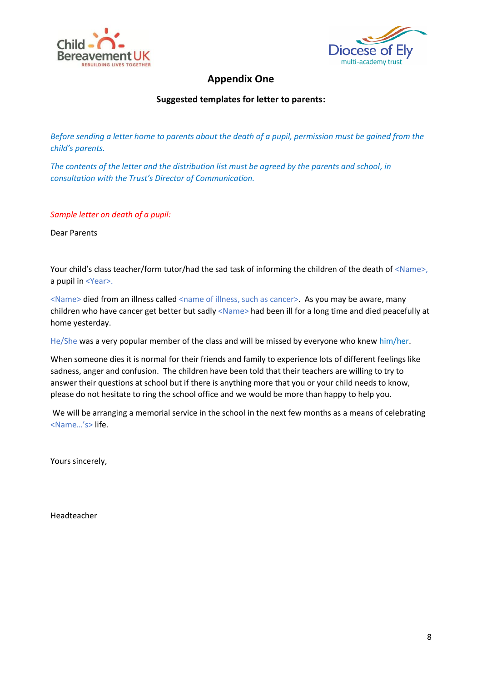



## **Appendix One**

## **Suggested templates for letter to parents:**

*Before sending a letter home to parents about the death of a pupil, permission must be gained from the child's parents.* 

*The contents of the letter and the distribution list must be agreed by the parents and school, in consultation with the Trust's Director of Communication.* 

*Sample letter on death of a pupil:*

Dear Parents

Your child's class teacher/form tutor/had the sad task of informing the children of the death of <Name>, a pupil in <Year>.

<Name> died from an illness called <name of illness, such as cancer>. As you may be aware, many children who have cancer get better but sadly <Name> had been ill for a long time and died peacefully at home yesterday.

He/She was a very popular member of the class and will be missed by everyone who knew him/her.

When someone dies it is normal for their friends and family to experience lots of different feelings like sadness, anger and confusion. The children have been told that their teachers are willing to try to answer their questions at school but if there is anything more that you or your child needs to know, please do not hesitate to ring the school office and we would be more than happy to help you.

We will be arranging a memorial service in the school in the next few months as a means of celebrating <Name…'s> life.

Yours sincerely,

Headteacher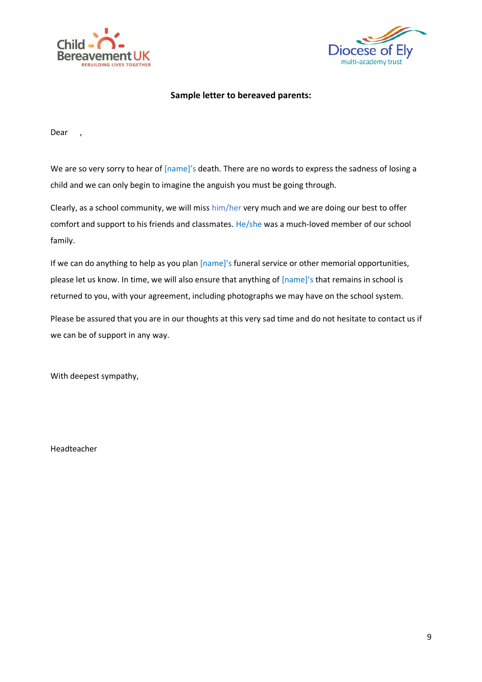



## **Sample letter to bereaved parents:**

Dear ,

We are so very sorry to hear of [name]'s death. There are no words to express the sadness of losing a child and we can only begin to imagine the anguish you must be going through.

Clearly, as a school community, we will miss him/her very much and we are doing our best to offer comfort and support to his friends and classmates. He/she was a much-loved member of our school family.

If we can do anything to help as you plan [name]'s funeral service or other memorial opportunities, please let us know. In time, we will also ensure that anything of [name]'s that remains in school is returned to you, with your agreement, including photographs we may have on the school system.

Please be assured that you are in our thoughts at this very sad time and do not hesitate to contact us if we can be of support in any way.

With deepest sympathy,

Headteacher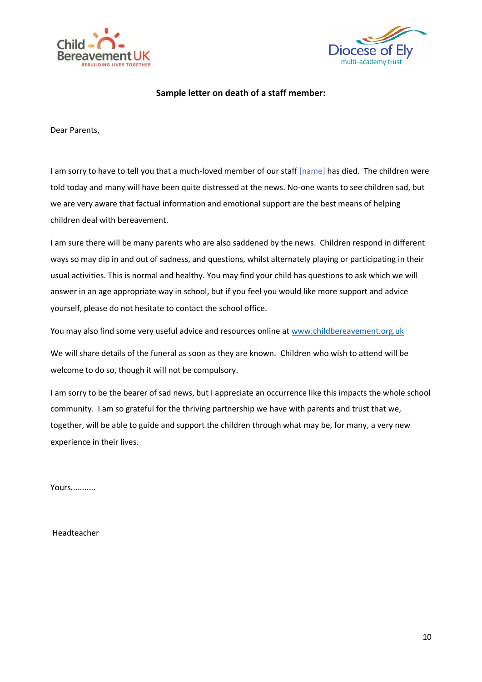



## **Sample letter on death of a staff member:**

Dear Parents,

I am sorry to have to tell you that a much-loved member of our staff [name] has died. The children were told today and many will have been quite distressed at the news. No-one wants to see children sad, but we are very aware that factual information and emotional support are the best means of helping children deal with bereavement.

I am sure there will be many parents who are also saddened by the news. Children respond in different ways so may dip in and out of sadness, and questions, whilst alternately playing or participating in their usual activities. This is normal and healthy. You may find your child has questions to ask which we will answer in an age appropriate way in school, but if you feel you would like more support and advice yourself, please do not hesitate to contact the school office.

You may also find some very useful advice and resources online at [www.childbereavement.org.uk](http://www.childbereavement.org.uk/)

We will share details of the funeral as soon as they are known. Children who wish to attend will be welcome to do so, though it will not be compulsory.

I am sorry to be the bearer of sad news, but I appreciate an occurrence like this impacts the whole school community. I am so grateful for the thriving partnership we have with parents and trust that we, together, will be able to guide and support the children through what may be, for many, a very new experience in their lives.

Yours...........

Headteacher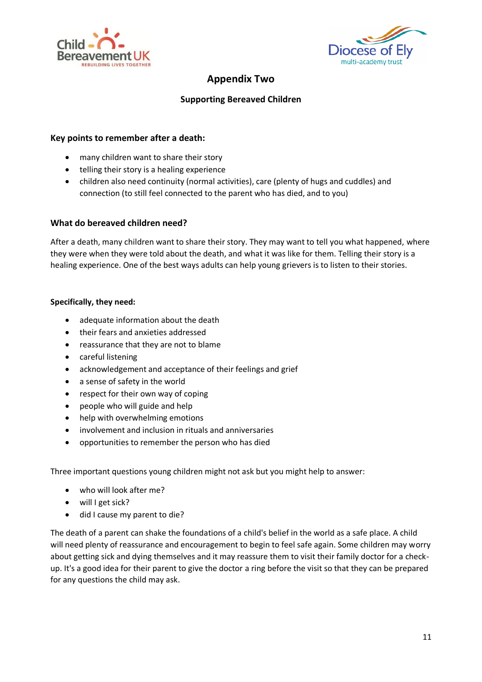



# **Appendix Two**

## **Supporting Bereaved Children**

## **Key points to remember after a death:**

- many children want to share their story
- telling their story is a healing experience
- children also need continuity (normal activities), care (plenty of hugs and cuddles) and connection (to still feel connected to the parent who has died, and to you)

## **What do bereaved children need?**

After a death, many children want to share their story. They may want to tell you what happened, where they were when they were told about the death, and what it was like for them. Telling their story is a healing experience. One of the best ways adults can help young grievers is to listen to their stories.

## **Specifically, they need:**

- adequate information about the death
- their fears and anxieties addressed
- reassurance that they are not to blame
- careful listening
- acknowledgement and acceptance of their feelings and grief
- a sense of safety in the world
- respect for their own way of coping
- people who will guide and help
- help with overwhelming emotions
- involvement and inclusion in rituals and anniversaries
- opportunities to remember the person who has died

Three important questions young children might not ask but you might help to answer:

- who will look after me?
- will I get sick?
- did I cause my parent to die?

The death of a parent can shake the foundations of a child's belief in the world as a safe place. A child will need plenty of reassurance and encouragement to begin to feel safe again. Some children may worry about getting sick and dying themselves and it may reassure them to visit their family doctor for a checkup. It's a good idea for their parent to give the doctor a ring before the visit so that they can be prepared for any questions the child may ask.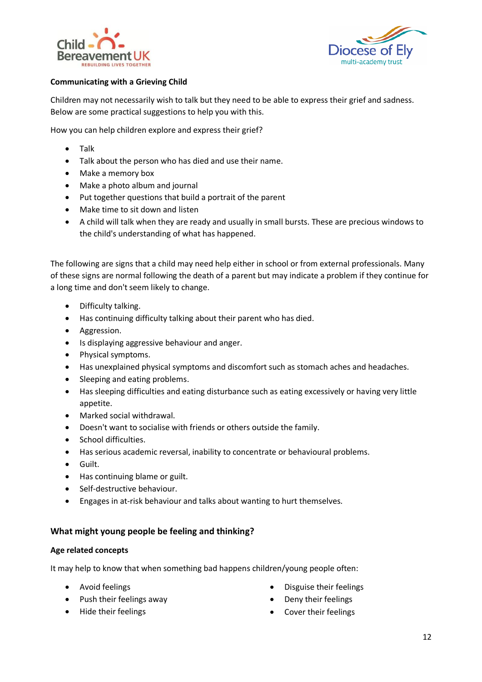



## **Communicating with a Grieving Child**

Children may not necessarily wish to talk but they need to be able to express their grief and sadness. Below are some practical suggestions to help you with this.

How you can help children explore and express their grief?

- Talk
- Talk about the person who has died and use their name.
- Make a memory box
- Make a photo album and journal
- Put together questions that build a portrait of the parent
- Make time to sit down and listen
- A child will talk when they are ready and usually in small bursts. These are precious windows to the child's understanding of what has happened.

The following are signs that a child may need help either in school or from external professionals. Many of these signs are normal following the death of a parent but may indicate a problem if they continue for a long time and don't seem likely to change.

- Difficulty talking.
- Has continuing difficulty talking about their parent who has died.
- Aggression.
- Is displaying aggressive behaviour and anger.
- Physical symptoms.
- Has unexplained physical symptoms and discomfort such as stomach aches and headaches.
- Sleeping and eating problems.
- Has sleeping difficulties and eating disturbance such as eating excessively or having very little appetite.
- Marked social withdrawal.
- Doesn't want to socialise with friends or others outside the family.
- School difficulties.
- Has serious academic reversal, inability to concentrate or behavioural problems.
- Guilt.
- Has continuing blame or guilt.
- Self-destructive behaviour.
- Engages in at-risk behaviour and talks about wanting to hurt themselves.

## **What might young people be feeling and thinking?**

#### **Age related concepts**

It may help to know that when something bad happens children/young people often:

- Avoid feelings
- Push their feelings away
- Hide their feelings
- Disguise their feelings
- Deny their feelings
- Cover their feelings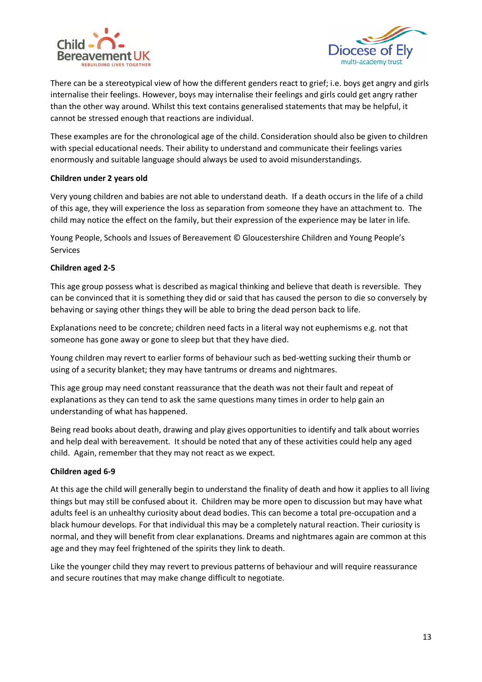



There can be a stereotypical view of how the different genders react to grief; i.e. boys get angry and girls internalise their feelings. However, boys may internalise their feelings and girls could get angry rather than the other way around. Whilst this text contains generalised statements that may be helpful, it cannot be stressed enough that reactions are individual.

These examples are for the chronological age of the child. Consideration should also be given to children with special educational needs. Their ability to understand and communicate their feelings varies enormously and suitable language should always be used to avoid misunderstandings.

## **Children under 2 years old**

Very young children and babies are not able to understand death. If a death occurs in the life of a child of this age, they will experience the loss as separation from someone they have an attachment to. The child may notice the effect on the family, but their expression of the experience may be later in life.

Young People, Schools and Issues of Bereavement © Gloucestershire Children and Young People's Services

## **Children aged 2-5**

This age group possess what is described as magical thinking and believe that death is reversible. They can be convinced that it is something they did or said that has caused the person to die so conversely by behaving or saying other things they will be able to bring the dead person back to life.

Explanations need to be concrete; children need facts in a literal way not euphemisms e.g. not that someone has gone away or gone to sleep but that they have died.

Young children may revert to earlier forms of behaviour such as bed-wetting sucking their thumb or using of a security blanket; they may have tantrums or dreams and nightmares.

This age group may need constant reassurance that the death was not their fault and repeat of explanations as they can tend to ask the same questions many times in order to help gain an understanding of what has happened.

Being read books about death, drawing and play gives opportunities to identify and talk about worries and help deal with bereavement. It should be noted that any of these activities could help any aged child. Again, remember that they may not react as we expect.

#### **Children aged 6-9**

At this age the child will generally begin to understand the finality of death and how it applies to all living things but may still be confused about it. Children may be more open to discussion but may have what adults feel is an unhealthy curiosity about dead bodies. This can become a total pre-occupation and a black humour develops. For that individual this may be a completely natural reaction. Their curiosity is normal, and they will benefit from clear explanations. Dreams and nightmares again are common at this age and they may feel frightened of the spirits they link to death.

Like the younger child they may revert to previous patterns of behaviour and will require reassurance and secure routines that may make change difficult to negotiate.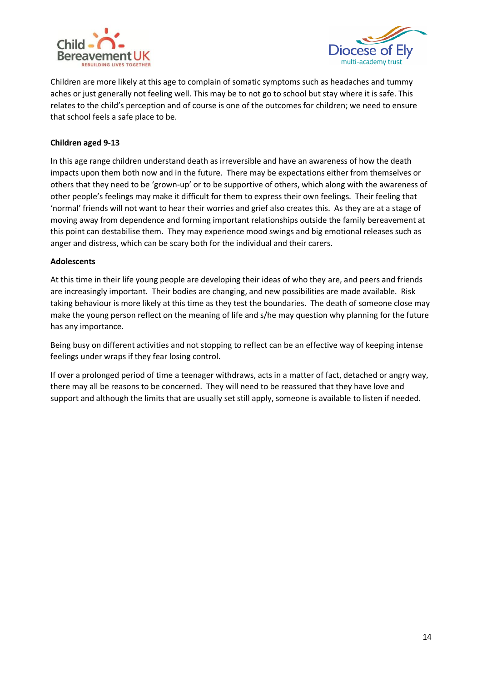



Children are more likely at this age to complain of somatic symptoms such as headaches and tummy aches or just generally not feeling well. This may be to not go to school but stay where it is safe. This relates to the child's perception and of course is one of the outcomes for children; we need to ensure that school feels a safe place to be.

## **Children aged 9-13**

In this age range children understand death as irreversible and have an awareness of how the death impacts upon them both now and in the future. There may be expectations either from themselves or others that they need to be 'grown-up' or to be supportive of others, which along with the awareness of other people's feelings may make it difficult for them to express their own feelings. Their feeling that 'normal' friends will not want to hear their worries and grief also creates this. As they are at a stage of moving away from dependence and forming important relationships outside the family bereavement at this point can destabilise them. They may experience mood swings and big emotional releases such as anger and distress, which can be scary both for the individual and their carers.

#### **Adolescents**

At this time in their life young people are developing their ideas of who they are, and peers and friends are increasingly important. Their bodies are changing, and new possibilities are made available. Risk taking behaviour is more likely at this time as they test the boundaries. The death of someone close may make the young person reflect on the meaning of life and s/he may question why planning for the future has any importance.

Being busy on different activities and not stopping to reflect can be an effective way of keeping intense feelings under wraps if they fear losing control.

If over a prolonged period of time a teenager withdraws, acts in a matter of fact, detached or angry way, there may all be reasons to be concerned. They will need to be reassured that they have love and support and although the limits that are usually set still apply, someone is available to listen if needed.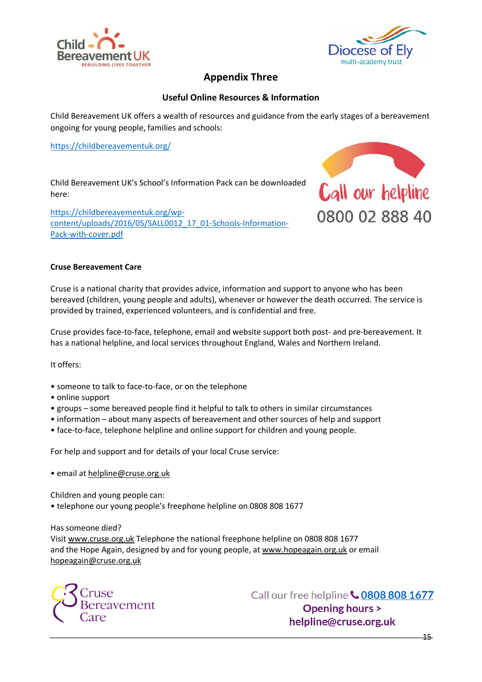



# **Appendix Three**

## **Useful Online Resources & Information**

Child Bereavement UK offers a wealth of resources and guidance from the early stages of a bereavement ongoing for young people, families and schools:

<https://childbereavementuk.org/>

Child Bereavement UK's School's Information Pack can be downloaded here:

[https://childbereavementuk.org/wp](https://childbereavementuk.org/wp-content/uploads/2016/05/SALL0012_17_01-Schools-Information-Pack-with-cover.pdf)[content/uploads/2016/05/SALL0012\\_17\\_01-Schools-Information-](https://childbereavementuk.org/wp-content/uploads/2016/05/SALL0012_17_01-Schools-Information-Pack-with-cover.pdf)[Pack-with-cover.pdf](https://childbereavementuk.org/wp-content/uploads/2016/05/SALL0012_17_01-Schools-Information-Pack-with-cover.pdf)



## **Cruse Bereavement Care**

Cruse is a national charity that provides advice, information and support to anyone who has been bereaved (children, young people and adults), whenever or however the death occurred. The service is provided by trained, experienced volunteers, and is confidential and free.

Cruse provides face-to-face, telephone, email and website support both post- and pre-bereavement. It has a national helpline, and local services throughout England, Wales and Northern Ireland.

It offers:

- someone to talk to face-to-face, or on the telephone
- online support
- groups some bereaved people find it helpful to talk to others in similar circumstances
- information about many aspects of bereavement and other sources of help and support
- face-to-face, telephone helpline and online support for children and young people.

For help and support and for details of your local Cruse service:

• email at [helpline@cruse.org.uk](mailto:helpline@cruse.org.uk)

Children and young people can:

• telephone our young people's freephone helpline on 0808 808 1677

Has someone died? Visit [www.cruse.org.uk](http://www.cruse.org.uk/) Telephone the national freephone helpline on 0808 808 1677 and the Hope Again, designed by and for young people, at [www.hopeagain.org.uk](http://www.hopeagain.org.uk/) or email [hopeagain@cruse.org.uk](mailto:hopeagain@cruse.org.uk)



Call our free helpline \ 0808 808 1677

**Opening hours >** helpline@cruse.org.uk